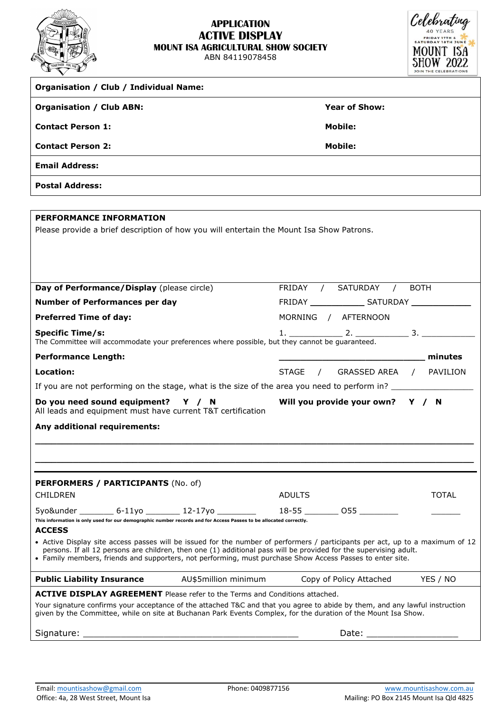

## **APPLICATION ACTIVE DISPLAY MOUNT ISA AGRICULTURAL SHOW SOCIETY**

ABN 84119078458



| <b>Organisation / Club / Individual Name:</b>                                                                                                                                                                                                                                                                                                                   |                                                                                                                                                                                                                                |  |  |  |  |
|-----------------------------------------------------------------------------------------------------------------------------------------------------------------------------------------------------------------------------------------------------------------------------------------------------------------------------------------------------------------|--------------------------------------------------------------------------------------------------------------------------------------------------------------------------------------------------------------------------------|--|--|--|--|
| <b>Organisation / Club ABN:</b>                                                                                                                                                                                                                                                                                                                                 | <b>Year of Show:</b>                                                                                                                                                                                                           |  |  |  |  |
| <b>Contact Person 1:</b>                                                                                                                                                                                                                                                                                                                                        | Mobile:                                                                                                                                                                                                                        |  |  |  |  |
| <b>Contact Person 2:</b>                                                                                                                                                                                                                                                                                                                                        | <b>Mobile:</b>                                                                                                                                                                                                                 |  |  |  |  |
| <b>Email Address:</b>                                                                                                                                                                                                                                                                                                                                           |                                                                                                                                                                                                                                |  |  |  |  |
| <b>Postal Address:</b>                                                                                                                                                                                                                                                                                                                                          |                                                                                                                                                                                                                                |  |  |  |  |
|                                                                                                                                                                                                                                                                                                                                                                 |                                                                                                                                                                                                                                |  |  |  |  |
| <b>PERFORMANCE INFORMATION</b><br>Please provide a brief description of how you will entertain the Mount Isa Show Patrons.                                                                                                                                                                                                                                      |                                                                                                                                                                                                                                |  |  |  |  |
| Day of Performance/Display (please circle)                                                                                                                                                                                                                                                                                                                      | FRIDAY / SATURDAY /<br><b>BOTH</b>                                                                                                                                                                                             |  |  |  |  |
| <b>Number of Performances per day</b>                                                                                                                                                                                                                                                                                                                           |                                                                                                                                                                                                                                |  |  |  |  |
| <b>Preferred Time of day:</b>                                                                                                                                                                                                                                                                                                                                   | MORNING / AFTERNOON                                                                                                                                                                                                            |  |  |  |  |
| <b>Specific Time/s:</b><br>The Committee will accommodate your preferences where possible, but they cannot be guaranteed.                                                                                                                                                                                                                                       |                                                                                                                                                                                                                                |  |  |  |  |
| <b>Performance Length:</b>                                                                                                                                                                                                                                                                                                                                      | minutes                                                                                                                                                                                                                        |  |  |  |  |
| Location:                                                                                                                                                                                                                                                                                                                                                       | STAGE / GRASSED AREA / PAVILION                                                                                                                                                                                                |  |  |  |  |
| If you are not performing on the stage, what is the size of the area you need to perform in?                                                                                                                                                                                                                                                                    |                                                                                                                                                                                                                                |  |  |  |  |
| Do you need sound equipment? Y / N<br>All leads and equipment must have current T&T certification                                                                                                                                                                                                                                                               | Will you provide your own? Y / N                                                                                                                                                                                               |  |  |  |  |
| Any additional requirements:                                                                                                                                                                                                                                                                                                                                    |                                                                                                                                                                                                                                |  |  |  |  |
|                                                                                                                                                                                                                                                                                                                                                                 |                                                                                                                                                                                                                                |  |  |  |  |
| PERFORMERS / PARTICIPANTS (No. of)<br><b>CHILDREN</b>                                                                                                                                                                                                                                                                                                           | <b>ADULTS</b><br><b>TOTAL</b>                                                                                                                                                                                                  |  |  |  |  |
| 5yo&under __________ 6-11yo _________ 12-17yo _________                                                                                                                                                                                                                                                                                                         | 18-55 _________ 055 _________                                                                                                                                                                                                  |  |  |  |  |
| This information is only used for our demographic number records and for Access Passes to be allocated correctly.<br><b>ACCESS</b>                                                                                                                                                                                                                              |                                                                                                                                                                                                                                |  |  |  |  |
| • Active Display site access passes will be issued for the number of performers / participants per act, up to a maximum of 12<br>persons. If all 12 persons are children, then one (1) additional pass will be provided for the supervising adult.<br>• Family members, friends and supporters, not performing, must purchase Show Access Passes to enter site. |                                                                                                                                                                                                                                |  |  |  |  |
| <b>Public Liability Insurance</b><br>AU\$5million minimum                                                                                                                                                                                                                                                                                                       | Copy of Policy Attached<br>YES / NO                                                                                                                                                                                            |  |  |  |  |
| <b>ACTIVE DISPLAY AGREEMENT</b> Please refer to the Terms and Conditions attached.                                                                                                                                                                                                                                                                              |                                                                                                                                                                                                                                |  |  |  |  |
| Your signature confirms your acceptance of the attached T&C and that you agree to abide by them, and any lawful instruction<br>given by the Committee, while on site at Buchanan Park Events Complex, for the duration of the Mount Isa Show.                                                                                                                   |                                                                                                                                                                                                                                |  |  |  |  |
|                                                                                                                                                                                                                                                                                                                                                                 | Date: the contract of the contract of the contract of the contract of the contract of the contract of the contract of the contract of the contract of the contract of the contract of the contract of the contract of the cont |  |  |  |  |